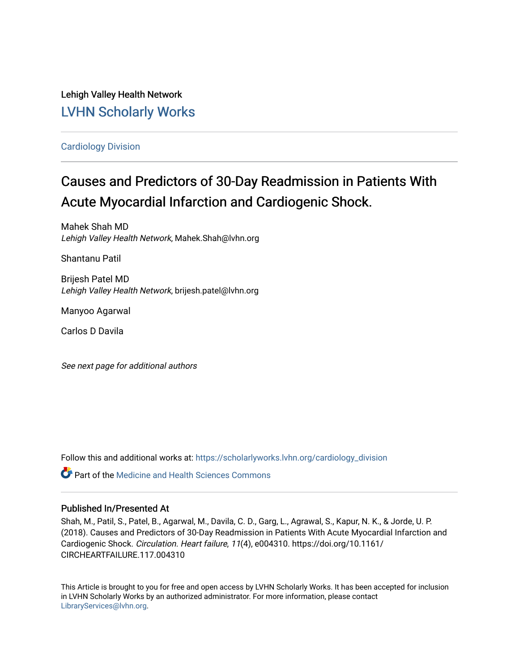# Lehigh Valley Health Network [LVHN Scholarly Works](https://scholarlyworks.lvhn.org/)

#### [Cardiology Division](https://scholarlyworks.lvhn.org/cardiology_division)

# Causes and Predictors of 30-Day Readmission in Patients With Acute Myocardial Infarction and Cardiogenic Shock.

Mahek Shah MD Lehigh Valley Health Network, Mahek.Shah@lvhn.org

Shantanu Patil

Brijesh Patel MD Lehigh Valley Health Network, brijesh.patel@lvhn.org

Manyoo Agarwal

Carlos D Davila

See next page for additional authors

Follow this and additional works at: [https://scholarlyworks.lvhn.org/cardiology\\_division](https://scholarlyworks.lvhn.org/cardiology_division?utm_source=scholarlyworks.lvhn.org%2Fcardiology_division%2F52&utm_medium=PDF&utm_campaign=PDFCoverPages)

**P** Part of the Medicine and Health Sciences Commons

#### Published In/Presented At

Shah, M., Patil, S., Patel, B., Agarwal, M., Davila, C. D., Garg, L., Agrawal, S., Kapur, N. K., & Jorde, U. P. (2018). Causes and Predictors of 30-Day Readmission in Patients With Acute Myocardial Infarction and Cardiogenic Shock. Circulation. Heart failure, 11(4), e004310. https://doi.org/10.1161/ CIRCHEARTFAILURE.117.004310

This Article is brought to you for free and open access by LVHN Scholarly Works. It has been accepted for inclusion in LVHN Scholarly Works by an authorized administrator. For more information, please contact [LibraryServices@lvhn.org](mailto:LibraryServices@lvhn.org).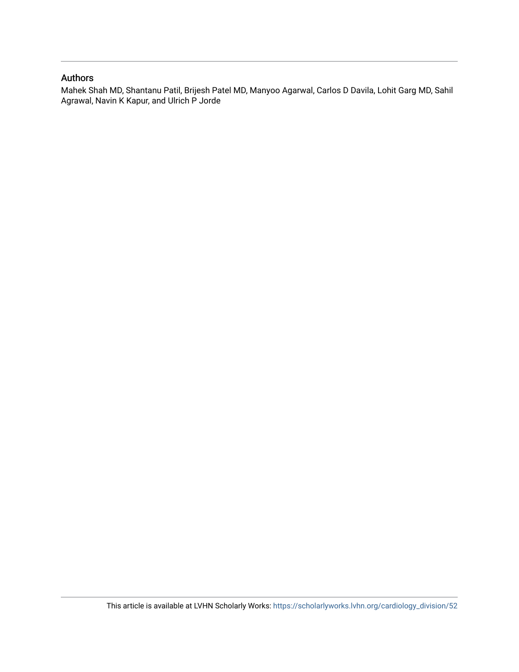#### Authors

Mahek Shah MD, Shantanu Patil, Brijesh Patel MD, Manyoo Agarwal, Carlos D Davila, Lohit Garg MD, Sahil Agrawal, Navin K Kapur, and Ulrich P Jorde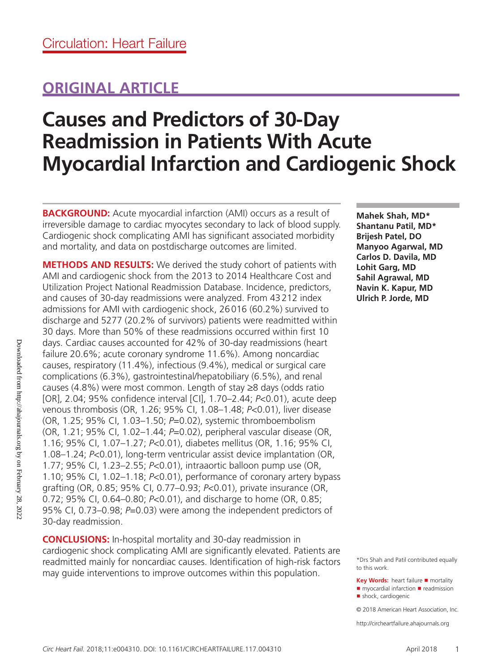# **ORIGINAL ARTICLE**

# **Causes and Predictors of 30-Day Readmission in Patients With Acute Myocardial Infarction and Cardiogenic Shock**

**BACKGROUND:** Acute myocardial infarction (AMI) occurs as a result of irreversible damage to cardiac myocytes secondary to lack of blood supply. Cardiogenic shock complicating AMI has significant associated morbidity and mortality, and data on postdischarge outcomes are limited.

**METHODS AND RESULTS:** We derived the study cohort of patients with AMI and cardiogenic shock from the 2013 to 2014 Healthcare Cost and Utilization Project National Readmission Database. Incidence, predictors, and causes of 30-day readmissions were analyzed. From 43212 index admissions for AMI with cardiogenic shock, 26016 (60.2%) survived to discharge and 5277 (20.2% of survivors) patients were readmitted within 30 days. More than 50% of these readmissions occurred within first 10 days. Cardiac causes accounted for 42% of 30-day readmissions (heart failure 20.6%; acute coronary syndrome 11.6%). Among noncardiac causes, respiratory (11.4%), infectious (9.4%), medical or surgical care complications (6.3%), gastrointestinal/hepatobiliary (6.5%), and renal causes (4.8%) were most common. Length of stay ≥8 days (odds ratio [OR], 2.04; 95% confidence interval [CI], 1.70–2.44; *P*<0.01), acute deep venous thrombosis (OR, 1.26; 95% CI, 1.08–1.48; *P*<0.01), liver disease (OR, 1.25; 95% CI, 1.03–1.50; *P*=0.02), systemic thromboembolism (OR, 1.21; 95% CI, 1.02–1.44; *P*=0.02), peripheral vascular disease (OR, 1.16; 95% CI, 1.07–1.27; *P*<0.01), diabetes mellitus (OR, 1.16; 95% CI, 1.08–1.24; *P*<0.01), long-term ventricular assist device implantation (OR, 1.77; 95% CI, 1.23–2.55; *P*<0.01), intraaortic balloon pump use (OR, 1.10; 95% CI, 1.02–1.18; *P*<0.01), performance of coronary artery bypass grafting (OR, 0.85; 95% CI, 0.77–0.93; *P*<0.01), private insurance (OR, 0.72; 95% CI, 0.64–0.80; *P*<0.01), and discharge to home (OR, 0.85; 95% CI, 0.73–0.98; *P*=0.03) were among the independent predictors of 30-day readmission.

**CONCLUSIONS:** In-hospital mortality and 30-day readmission in cardiogenic shock complicating AMI are significantly elevated. Patients are readmitted mainly for noncardiac causes. Identification of high-risk factors may guide interventions to improve outcomes within this population.

**Mahek Shah, MD\* Shantanu Patil, MD\* Brijesh Patel, DO Manyoo Agarwal, MD Carlos D. Davila, MD Lohit Garg, MD Sahil Agrawal, MD Navin K. Kapur, MD Ulrich P. Jorde, MD**

\*Drs Shah and Patil contributed equally to this work.

**Key Words:** heart failure ■ mortality ■ myocardial infarction ■ readmission ■ shock, cardiogenic

© 2018 American Heart Association, Inc.

http://circheartfailure.ahajournals.org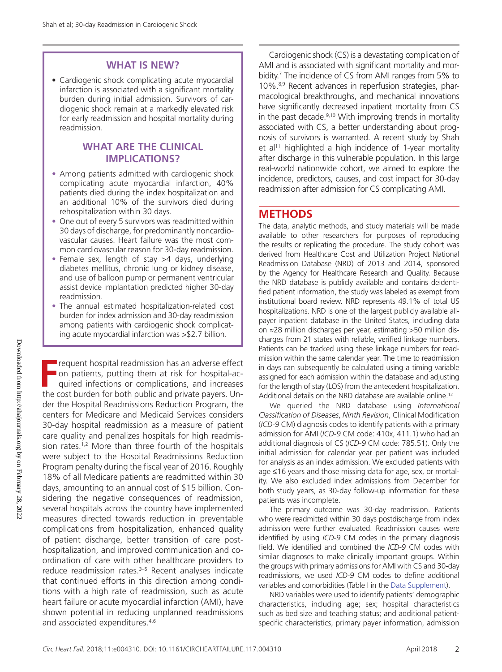#### **WHAT IS NEW?**

• Cardiogenic shock complicating acute myocardial infarction is associated with a significant mortality burden during initial admission. Survivors of cardiogenic shock remain at a markedly elevated risk for early readmission and hospital mortality during readmission.

## **WHAT ARE THE CLINICAL IMPLICATIONS?**

- Among patients admitted with cardiogenic shock complicating acute myocardial infarction, 40% patients died during the index hospitalization and an additional 10% of the survivors died during rehospitalization within 30 days.
- One out of every 5 survivors was readmitted within 30 days of discharge, for predominantly noncardiovascular causes. Heart failure was the most common cardiovascular reason for 30-day readmission.
- Female sex, length of stay >4 days, underlying diabetes mellitus, chronic lung or kidney disease, and use of balloon pump or permanent ventricular assist device implantation predicted higher 30-day readmission.
- The annual estimated hospitalization-related cost burden for index admission and 30-day readmission among patients with cardiogenic shock complicating acute myocardial infarction was >\$2.7 billion.

**F** requent hospital readmission has an adverse effect<br>
on patients, putting them at risk for hospital-ac-<br>
quired infections or complications, and increases<br>
the cost burden for both public and private payors. Unon patients, putting them at risk for hospital-acquired infections or complications, and increases the cost burden for both public and private payers. Under the Hospital Readmissions Reduction Program, the centers for Medicare and Medicaid Services considers 30-day hospital readmission as a measure of patient care quality and penalizes hospitals for high readmission rates.<sup>1,2</sup> More than three fourth of the hospitals were subject to the Hospital Readmissions Reduction Program penalty during the fiscal year of 2016. Roughly 18% of all Medicare patients are readmitted within 30 days, amounting to an annual cost of \$15 billion. Considering the negative consequences of readmission, several hospitals across the country have implemented measures directed towards reduction in preventable complications from hospitalization, enhanced quality of patient discharge, better transition of care posthospitalization, and improved communication and coordination of care with other healthcare providers to reduce readmission rates.<sup>3-5</sup> Recent analyses indicate that continued efforts in this direction among conditions with a high rate of readmission, such as acute heart failure or acute myocardial infarction (AMI), have shown potential in reducing unplanned readmissions and associated expenditures.4,6

Cardiogenic shock (CS) is a devastating complication of AMI and is associated with significant mortality and morbidity.7 The incidence of CS from AMI ranges from 5% to 10%.8,9 Recent advances in reperfusion strategies, pharmacological breakthroughs, and mechanical innovations have significantly decreased inpatient mortality from CS in the past decade.<sup>9,10</sup> With improving trends in mortality associated with CS, a better understanding about prognosis of survivors is warranted. A recent study by Shah et al<sup>11</sup> highlighted a high incidence of 1-year mortality after discharge in this vulnerable population. In this large real-world nationwide cohort, we aimed to explore the incidence, predictors, causes, and cost impact for 30-day readmission after admission for CS complicating AMI.

# **METHODS**

The data, analytic methods, and study materials will be made available to other researchers for purposes of reproducing the results or replicating the procedure. The study cohort was derived from Healthcare Cost and Utilization Project National Readmission Database (NRD) of 2013 and 2014, sponsored by the Agency for Healthcare Research and Quality. Because the NRD database is publicly available and contains deidentified patient information, the study was labeled as exempt from institutional board review. NRD represents 49.1% of total US hospitalizations. NRD is one of the largest publicly available allpayer inpatient database in the United States, including data on ≈28 million discharges per year, estimating >50 million discharges from 21 states with reliable, verified linkage numbers. Patients can be tracked using these linkage numbers for readmission within the same calendar year. The time to readmission in days can subsequently be calculated using a timing variable assigned for each admission within the database and adjusting for the length of stay (LOS) from the antecedent hospitalization. Additional details on the NRD database are available online.<sup>12</sup>

We queried the NRD database using *International Classification of Diseases*, *Ninth Revision*, Clinical Modification (*ICD-9* CM) diagnosis codes to identify patients with a primary admission for AMI (*ICD-9* CM code: 410x, 411.1) who had an additional diagnosis of CS (*ICD-9* CM code: 785.51). Only the initial admission for calendar year per patient was included for analysis as an index admission. We excluded patients with age ≤16 years and those missing data for age, sex, or mortality. We also excluded index admissions from December for both study years, as 30-day follow-up information for these patients was incomplete.

The primary outcome was 30-day readmission. Patients who were readmitted within 30 days postdischarge from index admission were further evaluated. Readmission causes were identified by using *ICD-9* CM codes in the primary diagnosis field. We identified and combined the *ICD-9* CM codes with similar diagnoses to make clinically important groups. Within the groups with primary admissions for AMI with CS and 30-day readmissions, we used *ICD-9* CM codes to define additional variables and comorbidities (Table I in the Data Supplement).

NRD variables were used to identify patients' demographic characteristics, including age; sex; hospital characteristics such as bed size and teaching status; and additional patientspecific characteristics, primary payer information, admission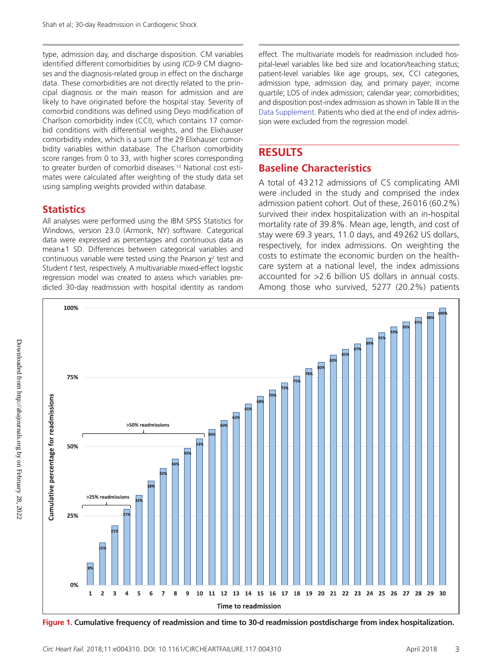type, admission day, and discharge disposition. CM variables identified different comorbidities by using *ICD-9* CM diagnoses and the diagnosis-related group in effect on the discharge data. These comorbidities are not directly related to the principal diagnosis or the main reason for admission and are likely to have originated before the hospital stay. Severity of comorbid conditions was defined using Deyo modification of Charlson comorbidity index (CCI), which contains 17 comorbid conditions with differential weights, and the Elixhauser comorbidity index, which is a sum of the 29 Elixhauser comorbidity variables within database. The Charlson comorbidity score ranges from 0 to 33, with higher scores corresponding to greater burden of comorbid diseases.<sup>13</sup> National cost estimates were calculated after weighting of the study data set using sampling weights provided within database.

# **Statistics**

All analyses were performed using the IBM SPSS Statistics for Windows, version 23.0 (Armonk, NY) software. Categorical data were expressed as percentages and continuous data as mean±1 SD. Differences between categorical variables and continuous variable were tested using the Pearson  $\chi^2$  test and Student *t* test, respectively. A multivariable mixed-effect logistic regression model was created to assess which variables predicted 30-day readmission with hospital identity as random

effect. The multivariate models for readmission included hospital-level variables like bed size and location/teaching status; patient-level variables like age groups, sex, CCI categories, admission type, admission day, and primary payer; income quartile; LOS of index admission; calendar year; comorbidities; and disposition post-index admission as shown in Table III in the Data Supplement. Patients who died at the end of index admission were excluded from the regression model.

# **RESULTS**

# **Baseline Characteristics**

A total of 43212 admissions of CS complicating AMI were included in the study and comprised the index admission patient cohort. Out of these, 26016 (60.2%) survived their index hospitalization with an in-hospital mortality rate of 39.8%. Mean age, length, and cost of stay were 69.3 years, 11.0 days, and 49262 US dollars, respectively, for index admissions. On weighting the costs to estimate the economic burden on the healthcare system at a national level, the index admissions accounted for >2.6 billion US dollars in annual costs. Among those who survived, 5277 (20.2%) patients



**Figure 1. Cumulative frequency of readmission and time to 30-d readmission postdischarge from index hospitalization.**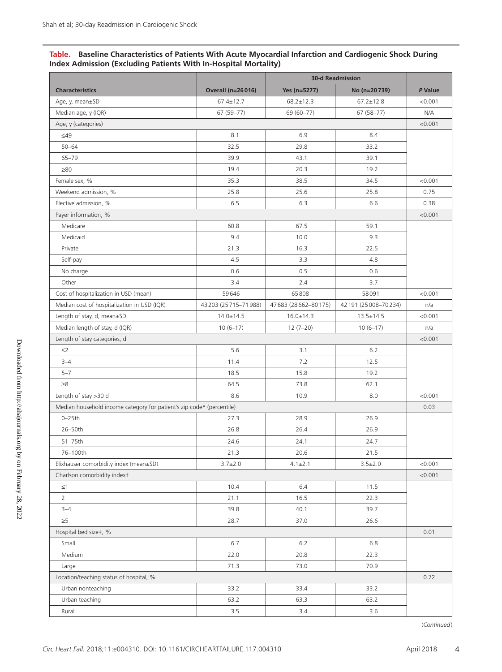#### **Table. Baseline Characteristics of Patients With Acute Myocardial Infarction and Cardiogenic Shock During Index Admission (Excluding Patients With In-Hospital Mortality)**

|                                             |                                                                       | <b>30-d Readmission</b>  |                          |         |  |
|---------------------------------------------|-----------------------------------------------------------------------|--------------------------|--------------------------|---------|--|
| <b>Characteristics</b>                      | <b>Overall (n=26016)</b>                                              | Yes (n=5277)             | No (n=20739)             | P Value |  |
| Age, y, mean±SD                             | $67.4 \pm 12.7$                                                       | $68.2 \pm 12.3$          | $67.2 \pm 12.8$          | < 0.001 |  |
| Median age, y (IQR)                         | 67 (59-77)                                                            | 69 (60-77)               | 67 (58-77)               | N/A     |  |
| Age, y (categories)                         |                                                                       |                          |                          | < 0.001 |  |
| $\leq 49$                                   | 8.1                                                                   | 6.9                      | 8.4                      |         |  |
| $50 - 64$                                   | 32.5                                                                  | 29.8                     | 33.2                     |         |  |
| $65 - 79$                                   | 39.9                                                                  | 43.1                     | 39.1                     |         |  |
| >80                                         | 19.4                                                                  | 20.3                     | 19.2                     |         |  |
| Female sex, %                               | 35.3                                                                  | 38.5                     | 34.5                     | < 0.001 |  |
| Weekend admission, %                        | 25.8                                                                  | 25.6                     | 25.8                     | 0.75    |  |
| Elective admission, %                       | 6.5                                                                   | 6.3                      | 6.6                      | 0.38    |  |
| Payer information, %                        |                                                                       |                          |                          | < 0.001 |  |
| Medicare                                    | 60.8                                                                  | 67.5                     | 59.1                     |         |  |
| Medicaid                                    | 9.4                                                                   | 10.0                     | 9.3                      |         |  |
| Private                                     | 21.3                                                                  | 16.3                     | 22.5                     |         |  |
| Self-pay                                    | 4.5                                                                   | 3.3                      | 4.8                      |         |  |
| No charge                                   | 0.6                                                                   | 0.5                      | 0.6                      |         |  |
| Other                                       | 3.4                                                                   | 2.4                      | 3.7                      |         |  |
| Cost of hospitalization in USD (mean)       | 59646                                                                 | 65808                    | 58091                    | < 0.001 |  |
| Median cost of hospitalization in USD (IQR) | 43 203 (25 715 - 71 988)                                              | 47 683 (28 662 - 80 175) | 42 191 (25 008 - 70 234) | n/a     |  |
| Length of stay, d, mean±SD                  | $14.0 \pm 14.5$                                                       | $16.0 \pm 14.3$          | $13.5 \pm 14.5$          | < 0.001 |  |
| Median length of stay, d (IQR)              | $10(6-17)$                                                            | $12(7-20)$               | $10(6-17)$               | n/a     |  |
| Length of stay categories, d                |                                                                       |                          |                          |         |  |
| $\leq$ 2                                    | 5.6                                                                   | 3.1                      | 6.2                      |         |  |
| $3 - 4$                                     | 11.4                                                                  | 7.2                      | 12.5                     |         |  |
| $5 - 7$                                     | 18.5                                                                  | 15.8                     | 19.2                     |         |  |
| $\geq 8$                                    | 64.5                                                                  | 73.8                     | 62.1                     |         |  |
| Length of stay >30 d                        | 8.6                                                                   | 10.9                     | 8.0                      | < 0.001 |  |
|                                             | Median household income category for patient's zip code* (percentile) |                          |                          |         |  |
| $0 - 25$ th                                 | 27.3                                                                  | 28.9                     | 26.9                     |         |  |
| 26-50th                                     | 26.8                                                                  | 26.4                     | 26.9                     |         |  |
| 51-75th                                     | 24.6                                                                  | 24.1                     | 24.7                     |         |  |
| 76-100th                                    | 21.3                                                                  | 20.6                     | 21.5                     |         |  |
| Elixhauser comorbidity index (mean±SD)      | $3.7 \pm 2.0$                                                         | $4.1 \pm 2.1$            | $3.5 \pm 2.0$            | < 0.001 |  |
| Charlson comorbidity indext                 |                                                                       |                          |                          |         |  |
| $\leq$ 1                                    | 10.4                                                                  | 6.4                      | 11.5                     |         |  |
| $\overline{2}$                              | 21.1                                                                  | 16.5                     | 22.3                     |         |  |
| $3 - 4$                                     | 39.8                                                                  | 40.1                     | 39.7                     |         |  |
| $\geq 5$                                    | 28.7                                                                  | 37.0                     | 26.6                     |         |  |
| Hospital bed size‡, %                       |                                                                       |                          |                          | 0.01    |  |
| Small                                       | 6.7                                                                   | $6.2$                    | 6.8                      |         |  |
| Medium                                      | 22.0                                                                  | 20.8                     | 22.3                     |         |  |
| Large                                       | 71.3                                                                  | 73.0                     | 70.9                     |         |  |
| Location/teaching status of hospital, %     |                                                                       |                          |                          | 0.72    |  |
| Urban nonteaching                           | 33.2                                                                  | 33.4                     | 33.2                     |         |  |
| Urban teaching                              | 63.2                                                                  | 63.3                     | 63.2                     |         |  |
| Rural                                       | 3.5                                                                   | 3.4                      | 3.6                      |         |  |

(*Continued*)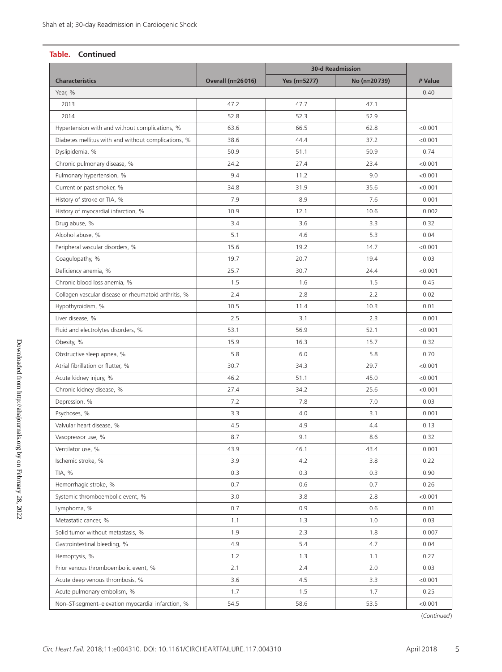#### **Table. Continued**

|                                                      |                          | <b>30-d Readmission</b> |              |         |
|------------------------------------------------------|--------------------------|-------------------------|--------------|---------|
| <b>Characteristics</b>                               | <b>Overall (n=26016)</b> | Yes (n=5277)            | No (n=20739) | P Value |
| Year, %                                              |                          |                         |              | 0.40    |
| 2013                                                 | 47.2                     | 47.7                    | 47.1         |         |
| 2014                                                 | 52.8                     | 52.3                    | 52.9         |         |
| Hypertension with and without complications, %       | 63.6                     | 66.5                    | 62.8         | < 0.001 |
| Diabetes mellitus with and without complications, %  | 38.6                     | 44.4                    | 37.2         | < 0.001 |
| Dyslipidemia, %                                      | 50.9                     | 51.1                    | 50.9         | 0.74    |
| Chronic pulmonary disease, %                         | 24.2                     | 27.4                    | 23.4         | < 0.001 |
| Pulmonary hypertension, %                            | 9.4                      | 11.2                    | 9.0          | < 0.001 |
| Current or past smoker, %                            | 34.8                     | 31.9                    | 35.6         | < 0.001 |
| History of stroke or TIA, %                          | 7.9                      | 8.9                     | 7.6          | 0.001   |
| History of myocardial infarction, %                  | 10.9                     | 12.1                    | 10.6         | 0.002   |
| Drug abuse, %                                        | 3.4                      | 3.6                     | 3.3          | 0.32    |
| Alcohol abuse, %                                     | 5.1                      | 4.6                     | 5.3          | 0.04    |
| Peripheral vascular disorders, %                     | 15.6                     | 19.2                    | 14.7         | < 0.001 |
| Coagulopathy, %                                      | 19.7                     | 20.7                    | 19.4         | 0.03    |
| Deficiency anemia, %                                 | 25.7                     | 30.7                    | 24.4         | < 0.001 |
| Chronic blood loss anemia, %                         | 1.5                      | 1.6                     | 1.5          | 0.45    |
| Collagen vascular disease or rheumatoid arthritis, % | 2.4                      | 2.8                     | 2.2          | 0.02    |
| Hypothyroidism, %                                    | 10.5                     | 11.4                    | 10.3         | 0.01    |
| Liver disease, %                                     | 2.5                      | 3.1                     | 2.3          | 0.001   |
| Fluid and electrolytes disorders, %                  | 53.1                     | 56.9                    | 52.1         | < 0.001 |
| Obesity, %                                           | 15.9                     | 16.3                    | 15.7         | 0.32    |
| Obstructive sleep apnea, %                           | 5.8                      | 6.0                     | 5.8          | 0.70    |
| Atrial fibrillation or flutter, %                    | 30.7                     | 34.3                    | 29.7         | < 0.001 |
| Acute kidney injury, %                               | 46.2                     | 51.1                    | 45.0         | < 0.001 |
| Chronic kidney disease, %                            | 27.4                     | 34.2                    | 25.6         | < 0.001 |
| Depression, %                                        | 7.2                      | 7.8                     | 7.0          | 0.03    |
| Psychoses, %                                         | 3.3                      | 4.0                     | 3.1          | 0.001   |
| Valvular heart disease, %                            | 4.5                      | 4.9                     | 4.4          | 0.13    |
| Vasopressor use, %                                   | 8.7                      | 9.1                     | 8.6          | 0.32    |
| Ventilator use, %                                    | 43.9                     | 46.1                    | 43.4         | 0.001   |
| Ischemic stroke, %                                   | 3.9                      | 4.2                     | 3.8          | 0.22    |
| TIA, %                                               | 0.3                      | 0.3                     | 0.3          | 0.90    |
| Hemorrhagic stroke, %                                | 0.7                      | 0.6                     | 0.7          | 0.26    |
| Systemic thromboembolic event, %                     | 3.0                      | 3.8                     | 2.8          | < 0.001 |
| Lymphoma, %                                          | 0.7                      | 0.9                     | 0.6          | 0.01    |
| Metastatic cancer, %                                 | 1.1                      | 1.3                     | 1.0          | 0.03    |
| Solid tumor without metastasis, %                    | 1.9                      | 2.3                     | 1.8          | 0.007   |
| Gastrointestinal bleeding, %                         | 4.9                      | 5.4                     | 4.7          | 0.04    |
| Hemoptysis, %                                        | 1.2                      | 1.3                     | 1.1          | 0.27    |
| Prior venous thromboembolic event, %                 | 2.1                      | 2.4                     | 2.0          | 0.03    |
| Acute deep venous thrombosis, %                      | 3.6                      | 4.5                     | 3.3          | < 0.001 |
| Acute pulmonary embolism, %                          | 1.7                      | 1.5                     | 1.7          | 0.25    |
| Non-ST-segment-elevation myocardial infarction, %    | 54.5                     | 58.6                    | 53.5         | < 0.001 |

(*Continued*)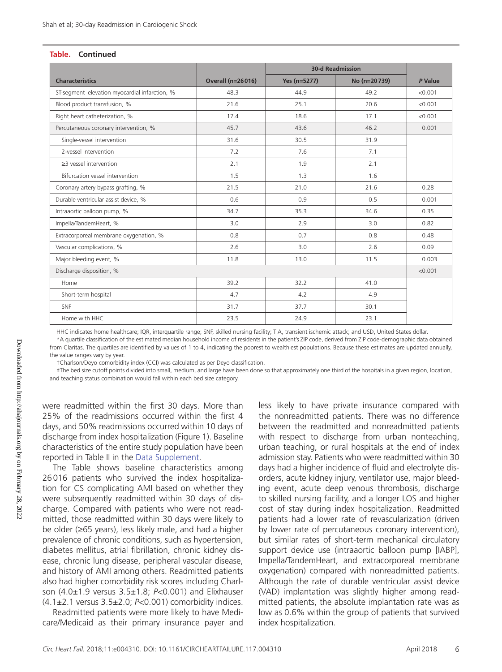#### **Table. Continued**

|                                               |                          | <b>30-d Readmission</b> |              |         |
|-----------------------------------------------|--------------------------|-------------------------|--------------|---------|
| <b>Characteristics</b>                        | <b>Overall (n=26016)</b> | Yes (n=5277)            | No (n=20739) | P Value |
| ST-segment-elevation myocardial infarction, % | 48.3                     | 44.9                    | 49.2         | < 0.001 |
| Blood product transfusion, %                  | 21.6                     | 25.1                    | 20.6         | < 0.001 |
| Right heart catheterization, %                | 17.4                     | 18.6                    | 17.1         | < 0.001 |
| Percutaneous coronary intervention, %         | 45.7                     | 43.6                    | 46.2         | 0.001   |
| Single-vessel intervention                    | 31.6                     | 30.5                    | 31.9         |         |
| 2-vessel intervention                         | 7.2                      | 7.6                     | 7.1          |         |
| $\geq$ 3 vessel intervention                  | 2.1                      | 1.9                     | 2.1          |         |
| Bifurcation vessel intervention               | 1.5                      | 1.3                     | 1.6          |         |
| Coronary artery bypass grafting, %            | 21.5                     | 21.0                    | 21.6         | 0.28    |
| Durable ventricular assist device, %          | 0.6                      | 0.9                     | 0.5          | 0.001   |
| Intraaortic balloon pump, %                   | 34.7                     | 35.3                    | 34.6         | 0.35    |
| Impella/TandemHeart, %                        | 3.0                      | 2.9                     | 3.0          | 0.82    |
| Extracorporeal membrane oxygenation, %        | 0.8                      | 0.7                     | 0.8          | 0.48    |
| Vascular complications, %                     | 2.6                      | 3.0                     | 2.6          | 0.09    |
| Major bleeding event, %                       | 11.8                     | 13.0                    | 11.5         | 0.003   |
| Discharge disposition, %                      |                          |                         |              | < 0.001 |
| Home                                          | 39.2                     | 32.2                    | 41.0         |         |
| Short-term hospital                           | 4.7                      | 4.2                     | 4.9          |         |
| <b>SNF</b>                                    | 31.7                     | 37.7                    | 30.1         |         |
| Home with HHC                                 | 23.5                     | 24.9                    | 23.1         |         |

HHC indicates home healthcare; IQR, interquartile range; SNF, skilled nursing facility; TIA, transient ischemic attack; and USD, United States dollar.

\*A quartile classification of the estimated median household income of residents in the patient's ZIP code, derived from ZIP code-demographic data obtained from Claritas. The quartiles are identified by values of 1 to 4, indicating the poorest to wealthiest populations. Because these estimates are updated annually, the value ranges vary by year.

†Charlson/Deyo comorbidity index (CCI) was calculated as per Deyo classification.

‡The bed size cutoff points divided into small, medium, and large have been done so that approximately one third of the hospitals in a given region, location, and teaching status combination would fall within each bed size category.

were readmitted within the first 30 days. More than 25% of the readmissions occurred within the first 4 days, and 50% readmissions occurred within 10 days of discharge from index hospitalization (Figure 1). Baseline characteristics of the entire study population have been reported in Table II in the Data Supplement.

The Table shows baseline characteristics among 26016 patients who survived the index hospitalization for CS complicating AMI based on whether they were subsequently readmitted within 30 days of discharge. Compared with patients who were not readmitted, those readmitted within 30 days were likely to be older (≥65 years), less likely male, and had a higher prevalence of chronic conditions, such as hypertension, diabetes mellitus, atrial fibrillation, chronic kidney disease, chronic lung disease, peripheral vascular disease, and history of AMI among others. Readmitted patients also had higher comorbidity risk scores including Charlson (4.0±1.9 versus 3.5±1.8; *P*<0.001) and Elixhauser (4.1±2.1 versus 3.5±2.0; *P*<0.001) comorbidity indices.

Readmitted patients were more likely to have Medicare/Medicaid as their primary insurance payer and less likely to have private insurance compared with the nonreadmitted patients. There was no difference between the readmitted and nonreadmitted patients with respect to discharge from urban nonteaching, urban teaching, or rural hospitals at the end of index admission stay. Patients who were readmitted within 30 days had a higher incidence of fluid and electrolyte disorders, acute kidney injury, ventilator use, major bleeding event, acute deep venous thrombosis, discharge to skilled nursing facility, and a longer LOS and higher cost of stay during index hospitalization. Readmitted patients had a lower rate of revascularization (driven by lower rate of percutaneous coronary intervention), but similar rates of short-term mechanical circulatory support device use (intraaortic balloon pump [IABP], Impella/TandemHeart, and extracorporeal membrane oxygenation) compared with nonreadmitted patients. Although the rate of durable ventricular assist device (VAD) implantation was slightly higher among readmitted patients, the absolute implantation rate was as low as 0.6% within the group of patients that survived index hospitalization.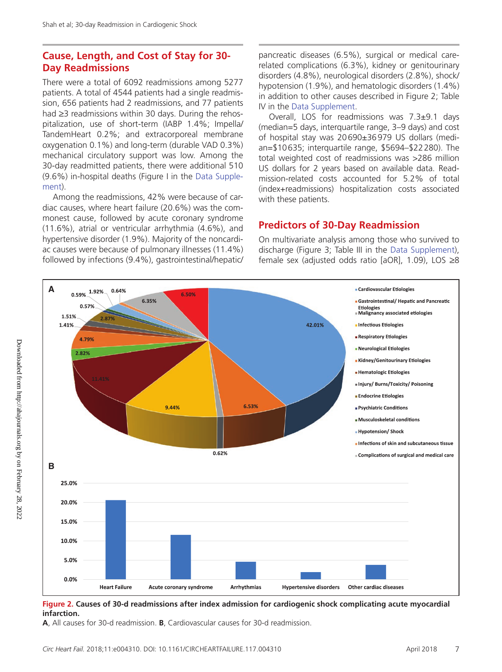## **Cause, Length, and Cost of Stay for 30- Day Readmissions**

There were a total of 6092 readmissions among 5277 patients. A total of 4544 patients had a single readmission, 656 patients had 2 readmissions, and 77 patients had ≥3 readmissions within 30 days. During the rehospitalization, use of short-term (IABP 1.4%; Impella/ TandemHeart 0.2%; and extracorporeal membrane oxygenation 0.1%) and long-term (durable VAD 0.3%) mechanical circulatory support was low. Among the 30-day readmitted patients, there were additional 510 (9.6%) in-hospital deaths (Figure I in the Data Supplement).

Among the readmissions, 42% were because of cardiac causes, where heart failure (20.6%) was the commonest cause, followed by acute coronary syndrome (11.6%), atrial or ventricular arrhythmia (4.6%), and hypertensive disorder (1.9%). Majority of the noncardiac causes were because of pulmonary illnesses (11.4%) followed by infections (9.4%), gastrointestinal/hepatic/ pancreatic diseases (6.5%), surgical or medical carerelated complications (6.3%), kidney or genitourinary disorders (4.8%), neurological disorders (2.8%), shock/ hypotension (1.9%), and hematologic disorders (1.4%) in addition to other causes described in Figure 2; Table IV in the Data Supplement.

Overall, LOS for readmissions was 7.3±9.1 days (median=5 days, interquartile range, 3–9 days) and cost of hospital stay was 20690±36979 US dollars (median=\$10635; interquartile range, \$5694–\$22280). The total weighted cost of readmissions was >286 million US dollars for 2 years based on available data. Readmission-related costs accounted for 5.2% of total (index+readmissions) hospitalization costs associated with these patients.

#### **Predictors of 30-Day Readmission**

On multivariate analysis among those who survived to discharge (Figure 3; Table III in the Data Supplement), female sex (adjusted odds ratio [aOR], 1.09), LOS ≥8



#### **Figure 2. Causes of 30-d readmissions after index admission for cardiogenic shock complicating acute myocardial infarction.**

**A**, All causes for 30-d readmission. **B**, Cardiovascular causes for 30-d readmission.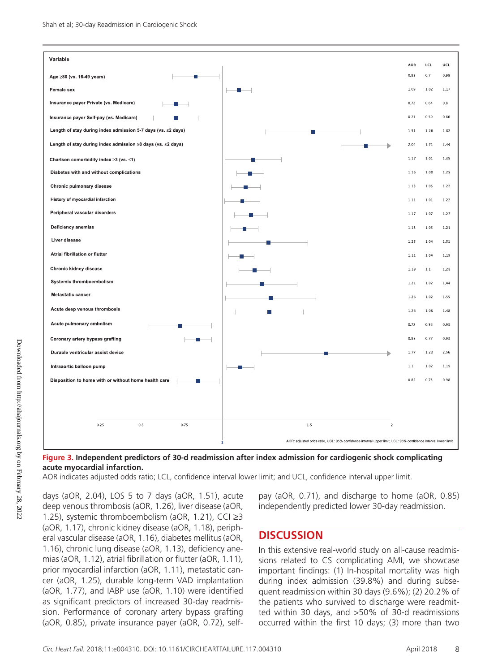

#### **Figure 3. Independent predictors of 30-d readmission after index admission for cardiogenic shock complicating acute myocardial infarction.**

AOR indicates adjusted odds ratio; LCL, confidence interval lower limit; and UCL, confidence interval upper limit.

days (aOR, 2.04), LOS 5 to 7 days (aOR, 1.51), acute deep venous thrombosis (aOR, 1.26), liver disease (aOR, 1.25), systemic thromboembolism (aOR, 1.21), CCI ≥3 (aOR, 1.17), chronic kidney disease (aOR, 1.18), peripheral vascular disease (aOR, 1.16), diabetes mellitus (aOR, 1.16), chronic lung disease (aOR, 1.13), deficiency anemias (aOR, 1.12), atrial fibrillation or flutter (aOR, 1.11), prior myocardial infarction (aOR, 1.11), metastatic cancer (aOR, 1.25), durable long-term VAD implantation (aOR, 1.77), and IABP use (aOR, 1.10) were identified as significant predictors of increased 30-day readmission. Performance of coronary artery bypass grafting (aOR, 0.85), private insurance payer (aOR, 0.72), selfpay (aOR, 0.71), and discharge to home (aOR, 0.85) independently predicted lower 30-day readmission.

# **DISCUSSION**

In this extensive real-world study on all-cause readmissions related to CS complicating AMI, we showcase important findings: (1) In-hospital mortality was high during index admission (39.8%) and during subsequent readmission within 30 days (9.6%); (2) 20.2% of the patients who survived to discharge were readmitted within 30 days, and >50% of 30-d readmissions occurred within the first 10 days; (3) more than two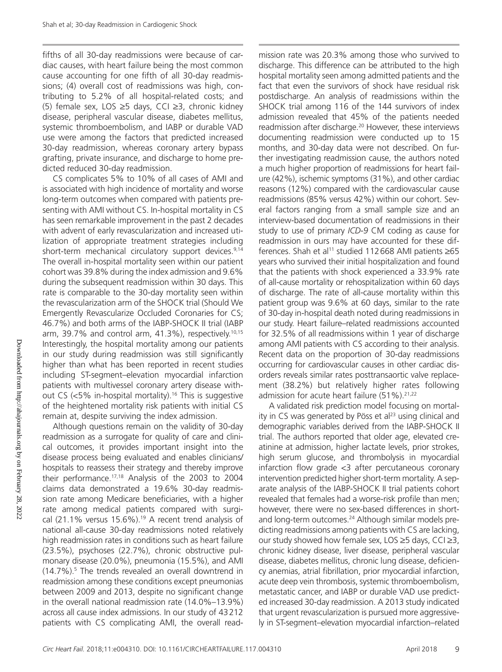fifths of all 30-day readmissions were because of cardiac causes, with heart failure being the most common cause accounting for one fifth of all 30-day readmissions; (4) overall cost of readmissions was high, contributing to 5.2% of all hospital-related costs; and (5) female sex, LOS ≥5 days, CCI ≥3, chronic kidney disease, peripheral vascular disease, diabetes mellitus, systemic thromboembolism, and IABP or durable VAD use were among the factors that predicted increased 30-day readmission, whereas coronary artery bypass grafting, private insurance, and discharge to home predicted reduced 30-day readmission.

CS complicates 5% to 10% of all cases of AMI and is associated with high incidence of mortality and worse long-term outcomes when compared with patients presenting with AMI without CS. In-hospital mortality in CS has seen remarkable improvement in the past 2 decades with advent of early revascularization and increased utilization of appropriate treatment strategies including short-term mechanical circulatory support devices.<sup>9,14</sup> The overall in-hospital mortality seen within our patient cohort was 39.8% during the index admission and 9.6% during the subsequent readmission within 30 days. This rate is comparable to the 30-day mortality seen within the revascularization arm of the SHOCK trial (Should We Emergently Revascularize Occluded Coronaries for CS; 46.7%) and both arms of the IABP-SHOCK II trial (IABP arm, 39.7% and control arm, 41.3%), respectively.<sup>10,15</sup> Interestingly, the hospital mortality among our patients in our study during readmission was still significantly higher than what has been reported in recent studies including ST-segment–elevation myocardial infarction patients with multivessel coronary artery disease without CS (<5% in-hospital mortality).<sup>16</sup> This is suggestive of the heightened mortality risk patients with initial CS remain at, despite surviving the index admission.

Although questions remain on the validity of 30-day readmission as a surrogate for quality of care and clinical outcomes, it provides important insight into the disease process being evaluated and enables clinicians/ hospitals to reassess their strategy and thereby improve their performance.17,18 Analysis of the 2003 to 2004 claims data demonstrated a 19.6% 30-day readmission rate among Medicare beneficiaries, with a higher rate among medical patients compared with surgical  $(21.1\%$  versus 15.6%).<sup>19</sup> A recent trend analysis of national all-cause 30-day readmissions noted relatively high readmission rates in conditions such as heart failure (23.5%), psychoses (22.7%), chronic obstructive pulmonary disease (20.0%), pneumonia (15.5%), and AMI (14.7%).5 The trends revealed an overall downtrend in readmission among these conditions except pneumonias between 2009 and 2013, despite no significant change in the overall national readmission rate (14.0%–13.9%) across all cause index admissions. In our study of 43212 patients with CS complicating AMI, the overall read-

mission rate was 20.3% among those who survived to discharge. This difference can be attributed to the high hospital mortality seen among admitted patients and the fact that even the survivors of shock have residual risk postdischarge. An analysis of readmissions within the SHOCK trial among 116 of the 144 survivors of index admission revealed that 45% of the patients needed readmission after discharge.<sup>20</sup> However, these interviews documenting readmission were conducted up to 15 months, and 30-day data were not described. On further investigating readmission cause, the authors noted a much higher proportion of readmissions for heart failure (42%), ischemic symptoms (31%), and other cardiac reasons (12%) compared with the cardiovascular cause readmissions (85% versus 42%) within our cohort. Several factors ranging from a small sample size and an interview-based documentation of readmissions in their study to use of primary *ICD-9* CM coding as cause for readmission in ours may have accounted for these differences. Shah et al<sup>11</sup> studied 112668 AMI patients ≥65 years who survived their initial hospitalization and found that the patients with shock experienced a 33.9% rate of all-cause mortality or rehospitalization within 60 days of discharge. The rate of all-cause mortality within this patient group was 9.6% at 60 days, similar to the rate of 30-day in-hospital death noted during readmissions in our study. Heart failure–related readmissions accounted for 32.5% of all readmissions within 1 year of discharge among AMI patients with CS according to their analysis. Recent data on the proportion of 30-day readmissions occurring for cardiovascular causes in other cardiac disorders reveals similar rates posttransaortic valve replacement (38.2%) but relatively higher rates following admission for acute heart failure (51%).<sup>21,22</sup>

A validated risk prediction model focusing on mortality in CS was generated by Pöss et al $^{23}$  using clinical and demographic variables derived from the IABP-SHOCK II trial. The authors reported that older age, elevated creatinine at admission, higher lactate levels, prior strokes, high serum glucose, and thrombolysis in myocardial infarction flow grade <3 after percutaneous coronary intervention predicted higher short-term mortality. A separate analysis of the IABP-SHOCK II trial patients cohort revealed that females had a worse-risk profile than men; however, there were no sex-based differences in shortand long-term outcomes.<sup>24</sup> Although similar models predicting readmissions among patients with CS are lacking, our study showed how female sex, LOS ≥5 days, CCI ≥3, chronic kidney disease, liver disease, peripheral vascular disease, diabetes mellitus, chronic lung disease, deficiency anemias, atrial fibrillation, prior myocardial infarction, acute deep vein thrombosis, systemic thromboembolism, metastatic cancer, and IABP or durable VAD use predicted increased 30-day readmission. A 2013 study indicated that urgent revascularization is pursued more aggressively in ST-segment–elevation myocardial infarction–related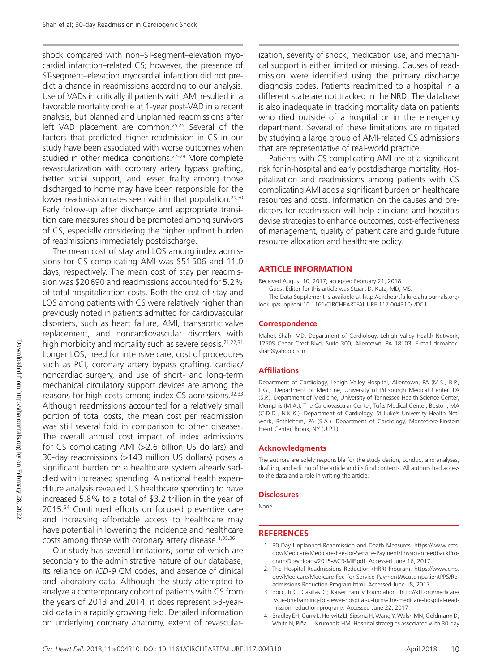shock compared with non–ST-segment–elevation myocardial infarction–related CS; however, the presence of ST-segment–elevation myocardial infarction did not predict a change in readmissions according to our analysis. Use of VADs in critically ill patients with AMI resulted in a favorable mortality profile at 1-year post-VAD in a recent analysis, but planned and unplanned readmissions after left VAD placement are common.<sup>25,26</sup> Several of the factors that predicted higher readmission in CS in our study have been associated with worse outcomes when studied in other medical conditions.27–29 More complete revascularization with coronary artery bypass grafting, better social support, and lesser frailty among those discharged to home may have been responsible for the lower readmission rates seen within that population.<sup>29,30</sup> Early follow-up after discharge and appropriate transition care measures should be promoted among survivors of CS, especially considering the higher upfront burden of readmissions immediately postdischarge.

The mean cost of stay and LOS among index admissions for CS complicating AMI was \$51506 and 11.0 days, respectively. The mean cost of stay per readmission was \$20690 and readmissions accounted for 5.2% of total hospitalization costs. Both the cost of stay and LOS among patients with CS were relatively higher than previously noted in patients admitted for cardiovascular disorders, such as heart failure, AMI, transaortic valve replacement, and noncardiovascular disorders with high morbidity and mortality such as severe sepsis.<sup>21,22,31</sup> Longer LOS, need for intensive care, cost of procedures such as PCI, coronary artery bypass grafting, cardiac/ noncardiac surgery, and use of short- and long-term mechanical circulatory support devices are among the reasons for high costs among index CS admissions.32,33 Although readmissions accounted for a relatively small portion of total costs, the mean cost per readmission was still several fold in comparison to other diseases. The overall annual cost impact of index admissions for CS complicating AMI (>2.6 billion US dollars) and 30-day readmissions (>143 million US dollars) poses a significant burden on a healthcare system already saddled with increased spending. A national health expenditure analysis revealed US healthcare spending to have increased 5.8% to a total of \$3.2 trillion in the year of 2015.<sup>34</sup> Continued efforts on focused preventive care and increasing affordable access to healthcare may have potential in lowering the incidence and healthcare costs among those with coronary artery disease.1,35,36

Our study has several limitations, some of which are secondary to the administrative nature of our database, its reliance on *ICD-9* CM codes, and absence of clinical and laboratory data. Although the study attempted to analyze a contemporary cohort of patients with CS from the years of 2013 and 2014, it does represent >3-yearold data in a rapidly growing field. Detailed information on underlying coronary anatomy, extent of revascularization, severity of shock, medication use, and mechanical support is either limited or missing. Causes of readmission were identified using the primary discharge diagnosis codes. Patients readmitted to a hospital in a different state are not tracked in the NRD. The database is also inadequate in tracking mortality data on patients who died outside of a hospital or in the emergency department. Several of these limitations are mitigated by studying a large group of AMI-related CS admissions that are representative of real-world practice.

Patients with CS complicating AMI are at a significant risk for in-hospital and early postdischarge mortality. Hospitalization and readmissions among patients with CS complicating AMI adds a significant burden on healthcare resources and costs. Information on the causes and predictors for readmission will help clinicians and hospitals devise strategies to enhance outcomes, cost-effectiveness of management, quality of patient care and guide future resource allocation and healthcare policy.

#### **ARTICLE INFORMATION**

Received August 10, 2017; accepted February 21, 2018.

Guest Editor for this article was Stuart D. Katz, MD, MS.

The Data Supplement is available at http://circheartfailure.ahajournals.org/ lookup/suppl/doi:10.1161/CIRCHEARTFAILURE.117.004310/-/DC1.

#### **Correspondence**

Mahek Shah, MD, Department of Cardiology, Lehigh Valley Health Network, 1250S Cedar Crest Blvd, Suite 300, Allentown, PA 18103. E-mail [dr.mahek](mailto:dr.mahekshah@yahoo.co.in)[shah@yahoo.co.in](mailto:dr.mahekshah@yahoo.co.in)

#### **Affiliations**

Department of Cardiology, Lehigh Valley Hospital, Allentown, PA (M.S., B.P., L.G.). Department of Medicine, University of Pittsburgh Medical Center, PA (S.P.). Department of Medicine, University of Tennessee Health Science Center, Memphis (M.A.). The Cardiovascular Center, Tufts Medical Center, Boston, MA (C.D.D., N.K.K.). Department of Cardiology, St Luke's University Health Network, Bethlehem, PA (S.A.). Department of Cardiology, Montefiore-Einstein Heart Center, Bronx, NY (U.P.J.).

#### **Acknowledgments**

The authors are solely responsible for the study design, conduct and analyses, drafting, and editing of the article and its final contents. All authors had access to the data and a role in writing the article.

#### **Disclosures**

None.

#### **REFERENCES**

- 1. 30-Day Unplanned Readmission and Death Measures. https://www.cms. gov/Medicare/Medicare-Fee-for-Service-Payment/PhysicianFeedbackProgram/Downloads/2015-ACR-MIF.pdf. Accessed June 16, 2017.
- 2. The Hospital Readmissions Reduction (HRR) Program. https://www.cms. gov/Medicare/Medicare-Fee-for-Service-Payment/AcuteInpatientPPS/Readmissions-Reduction-Program.html. Accessed June 18, 2017.
- 3. Boccuti C, Casillas G; Kaiser Family Foundation. http://kff.org/medicare/ issue-brief/aiming-for-fewer-hospital-u-turns-the-medicare-hospital-readmission-reduction-program/. Accessed June 22, 2017.
- 4. Bradley EH, Curry L, Horwitz LI, Sipsma H, Wang Y, Walsh MN, Goldmann D, White N, Piña IL, Krumholz HM. Hospital strategies associated with 30-day